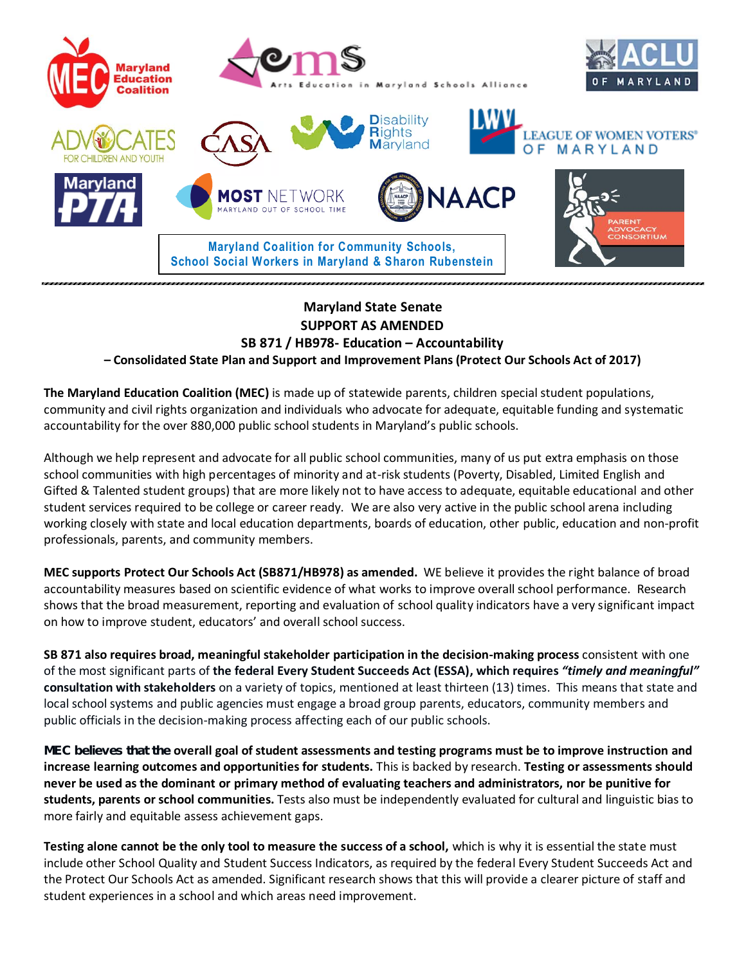

## **Maryland State Senate SUPPORT AS AMENDED SB 871 / HB978- Education – Accountability**

**– Consolidated State Plan and Support and Improvement Plans (Protect Our Schools Act of 2017)**

**The Maryland Education Coalition (MEC)** is made up of statewide parents, children special student populations, community and civil rights organization and individuals who advocate for adequate, equitable funding and systematic accountability for the over 880,000 public school students in Maryland's public schools.

Although we help represent and advocate for all public school communities, many of us put extra emphasis on those school communities with high percentages of minority and at-risk students (Poverty, Disabled, Limited English and Gifted & Talented student groups) that are more likely not to have access to adequate, equitable educational and other student services required to be college or career ready. We are also very active in the public school arena including working closely with state and local education departments, boards of education, other public, education and non-profit professionals, parents, and community members.

**MEC supports Protect Our Schools Act (SB871/HB978) as amended.** WE believe it provides the right balance of broad accountability measures based on scientific evidence of what works to improve overall school performance. Research shows that the broad measurement, reporting and evaluation of school quality indicators have a very significant impact on how to improve student, educators' and overall school success.

**SB 871 also requires broad, meaningful stakeholder participation in the decision-making process** consistent with one of the most significant parts of **the federal Every Student Succeeds Act (ESSA), which requires** *"timely and meaningful"* **consultation with stakeholders** on a variety of topics, mentioned at least thirteen (13) times. This means that state and local school systems and public agencies must engage a broad group parents, educators, community members and public officials in the decision-making process affecting each of our public schools.

MEC believes that the **overall goal of student assessments and testing programs must be to improve instruction and increase learning outcomes and opportunities for students.** This is backed by research. **Testing or assessments should never be used as the dominant or primary method of evaluating teachers and administrators, nor be punitive for students, parents or school communities.** Tests also must be independently evaluated for cultural and linguistic bias to more fairly and equitable assess achievement gaps.

**Testing alone cannot be the only tool to measure the success of a school,** which is why it is essential the state must include other School Quality and Student Success Indicators, as required by the federal Every Student Succeeds Act and the Protect Our Schools Act as amended. Significant research shows that this will provide a clearer picture of staff and student experiences in a school and which areas need improvement.